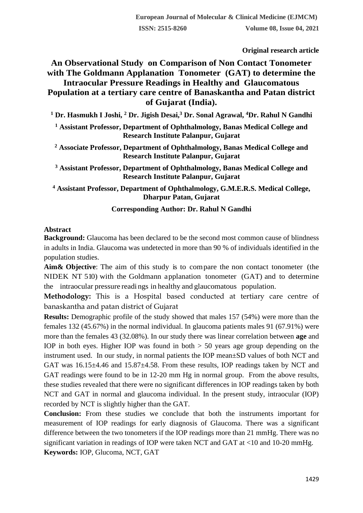**Original research article** 

# **An Observational Study on Comparison of Non Contact Tonometer with The Goldmann Applanation Tonometer (GAT) to determine the Intraocular Pressure Readings in Healthy and Glaucomatous Population at a tertiary care centre of Banaskantha and Patan district of Gujarat (India).**

**<sup>1</sup> Dr. Hasmukh I Joshi, <sup>2</sup> Dr. Jigish Desai,<sup>3</sup> Dr. Sonal Agrawal, <sup>4</sup>Dr. Rahul N Gandhi**

- **<sup>1</sup> Assistant Professor, Department of Ophthalmology, Banas Medical College and Research Institute Palanpur, Gujarat**
- **<sup>2</sup> Associate Professor, Department of Ophthalmology, Banas Medical College and Research Institute Palanpur, Gujarat**
- **<sup>3</sup> Assistant Professor, Department of Ophthalmology, Banas Medical College and Research Institute Palanpur, Gujarat**

**<sup>4</sup> Assistant Professor, Department of Ophthalmology, G.M.E.R.S. Medical College, Dharpur Patan, Gujarat**

# **Corresponding Author: Dr. Rahul N Gandhi**

# **Abstract**

**Background:** Glaucoma has been declared to be the second most common cause of blindness in adults in India. Glaucoma was undetected in more than 90 % of individuals identified in the population studies.

**Aim& Objective**: The aim of this study is to compare the non contact tonometer (the NIDEK NT 510) with the Goldmann applanation tonometer (GAT) and to determine the intraocular pressure readi ngs in healthy and glaucomatous population.

**Methodology:** This is a Hospital based conducted at tertiary care centre of banaskantha and patan district of Gujarat

**Results:** Demographic profile of the study showed that males 157 (54%) were more than the females 132 (45.67%) in the normal individual. In glaucoma patients males 91 (67.91%) were more than the females 43 (32.08%). In our study there was linear correlation between **age** and IOP in both eyes. Higher IOP was found in both  $> 50$  years age group depending on the instrument used. In our study, in normal patients the IOP mean±SD values of both NCT and GAT was 16.15±4.46 and 15.87±4.58. From these results, IOP readings taken by NCT and GAT readings were found to be in 12-20 mm Hg in normal group. From the above results, these studies revealed that there were no significant differences in IOP readings taken by both NCT and GAT in normal and glaucoma individual. In the present study, intraocular (IOP) recorded by NCT is slightly higher than the GAT.

**Conclusion:** From these studies we conclude that both the instruments important for measurement of IOP readings for early diagnosis of Glaucoma. There was a significant difference between the two tonometers if the IOP readings more than 21 mmHg. There was no significant variation in readings of IOP were taken NCT and GAT at <10 and 10-20 mmHg. **Keywords:** IOP, Glucoma, NCT, GAT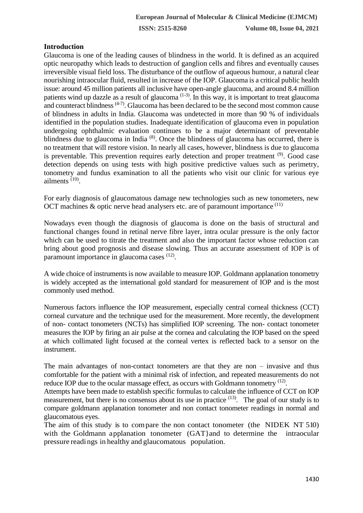# **Introduction**

Glaucoma is one of the leading causes of blindness in the world. It is defined as an acquired optic neuropathy which leads to destruction of ganglion cells and fibres and eventually causes irreversible visual field loss. The disturbance of the outflow of aqueous humour, a natural clear nourishing intraocular fluid, resulted in increase of the IOP. Glaucoma is a critical public health issue: around 45 million patients all inclusive have open-angle glaucoma, and around 8.4 million patients wind up dazzle as a result of glaucoma  $(1-3)$ . In this way, it is important to treat glaucoma and counteract blindness  $(4-7)$ . Glaucoma has been declared to be the second most common cause of blindness in adults in India. Glaucoma was undetected in more than 90 % of individuals identified in the population studies. Inadequate identification of glaucoma even in population undergoing ophthalmic evaluation continues to be a major determinant of preventable blindness due to glaucoma in India<sup>(8)</sup>. Once the blindness of glaucoma has occurred, there is no treatment that will restore vision. In nearly all cases, however, blindness is due to glaucoma is preventable. This prevention requires early detection and proper treatment <sup>(9)</sup>. Good case detection depends on using tests with high positive predictive values such as perimetry, tonometry and fundus examination to all the patients who visit our clinic for various eye ailments<sup>(10)</sup>.

For early diagnosis of glaucomatous damage new technologies such as new tonometers, new OCT machines  $\&$  optic nerve head analysers etc. are of paramount importance  $^{(11)}$ 

Nowadays even though the diagnosis of glaucoma is done on the basis of structural and functional changes found in retinal nerve fibre layer, intra ocular pressure is the only factor which can be used to titrate the treatment and also the important factor whose reduction can bring about good prognosis and disease slowing. Thus an accurate assessment of IOP is of paramount importance in glaucoma cases <sup>(12)</sup>.

A wide choice of instruments is now available to measure IOP. Goldmann applanation tonometry is widely accepted as the international gold standard for measurement of IOP and is the most commonly used method.

Numerous factors influence the IOP measurement, especially central corneal thickness (CCT) corneal curvature and the technique used for the measurement. More recently, the development of non- contact tonometers (NCTs) has simplified IOP screening. The non- contact tonometer measures the IOP by firing an air pulse at the cornea and calculating the IOP based on the speed at which collimated light focused at the corneal vertex is reflected back to a sensor on the instrument.

The main advantages of non-contact tonometers are that they are non – invasive and thus comfortable for the patient with a minimal risk of infection, and repeated measurements do not reduce IOP due to the ocular massage effect, as occurs with Goldmann tonometry  $(12)$ .

Attempts have been made to establish specific formulas to calculate the influence of CCT on IOP measurement, but there is no consensus about its use in practice <sup>(13)</sup>. The goal of our study is to compare goldmann applanation tonometer and non contact tonometer readings in normal and glaucomatous eyes.

The aim of this study is to compare the non contact tonometer (the NIDEK NT 510) with the Goldmann applanation tonometer (GAT) and to determine the intraocular pressure readings in healthy and glaucomatous population.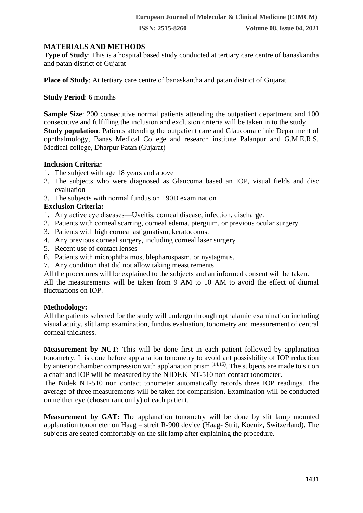#### **MATERIALS AND METHODS**

**Type of Study**: This is a hospital based study conducted at tertiary care centre of banaskantha and patan district of Gujarat

**Place of Study**: At tertiary care centre of banaskantha and patan district of Gujarat

#### **Study Period**: 6 months

**Sample Size**: 200 consecutive normal patients attending the outpatient department and 100 consecutive and fulfilling the inclusion and exclusion criteria will be taken in to the study. **Study population**: Patients attending the outpatient care and Glaucoma clinic Department of ophthalmology, Banas Medical College and research institute Palanpur and G.M.E.R.S. Medical college, Dharpur Patan (Gujarat)

#### **Inclusion Criteria:**

- 1. The subject with age 18 years and above
- 2. The subjects who were diagnosed as Glaucoma based an IOP, visual fields and disc evaluation
- 3. The subjects with normal fundus on +90D examination

# **Exclusion Criteria:**

- 1. Any active eye diseases—Uveitis, corneal disease, infection, discharge.
- 2. Patients with corneal scarring, corneal edema, ptergium, or previous ocular surgery.
- 3. Patients with high corneal astigmatism, keratoconus.
- 4. Any previous corneal surgery, including corneal laser surgery
- 5. Recent use of contact lenses
- 6. Patients with microphthalmos, blepharospasm, or nystagmus.
- 7. Any condition that did not allow taking measurements
- All the procedures will be explained to the subjects and an informed consent will be taken.

All the measurements will be taken from 9 AM to 10 AM to avoid the effect of diurnal fluctuations on IOP.

# **Methodology:**

All the patients selected for the study will undergo through opthalamic examination including visual acuity, slit lamp examination, fundus evaluation, tonometry and measurement of central corneal thickness.

**Measurement by NCT:** This will be done first in each patient followed by applanation tonometry. It is done before applanation tonometry to avoid ant possisbility of IOP reduction by anterior chamber compression with applanation prism <sup>(14,15)</sup>. The subjects are made to sit on a chair and IOP will be measured by the NIDEK NT-510 non contact tonometer.

The Nidek NT-510 non contact tonometer automatically records three IOP readings. The average of three measurements will be taken for comparision. Examination will be conducted on neither eye (chosen randomly) of each patient.

**Measurement by GAT:** The applanation tonometry will be done by slit lamp mounted applanation tonometer on Haag – streit R-900 device (Haag- Strit, Koeniz, Switzerland). The subjects are seated comfortably on the slit lamp after explaining the procedure.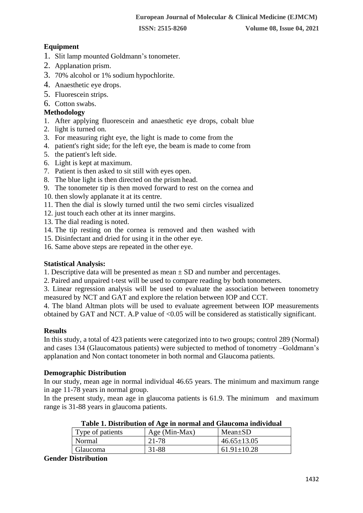# **Equipment**

- 1. Slit lamp mounted Goldmann's tonometer.
- 2. Applanation prism.
- 3. 70% alcohol or 1% sodium hypochlorite.
- 4. Anaesthetic eye drops.
- 5. Fluorescein strips.
- 6. Cotton swabs.

#### **Methodology**

- 1. After applying fluorescein and anaesthetic eye drops, cobalt blue
- 2. light is turned on.
- 3. For measuring right eye, the light is made to come from the
- 4. patient's right side; for the left eye, the beam is made to come from
- 5. the patient's left side.
- 6. Light is kept at maximum.
- 7. Patient is then asked to sit still with eyes open.
- 8. The blue light is then directed on the prism head.
- 9. The tonometer tip is then moved forward to rest on the cornea and
- 10. then slowly applanate it at its centre.
- 11. Then the dial is slowly turned until the two semi circles visualized
- 12. just touch each other at its inner margins.
- 13. The dial reading is noted.
- 14. The tip resting on the cornea is removed and then washed with
- 15. Disinfectant and dried for using it in the other eye.
- 16. Same above steps are repeated in the other eye.

#### **Statistical Analysis:**

1. Descriptive data will be presented as mean  $\pm$  SD and number and percentages.

2. Paired and unpaired t-test will be used to compare reading by both tonometers.

3. Linear regression analysis will be used to evaluate the association between tonometry measured by NCT and GAT and explore the relation between IOP and CCT.

4. The bland Altman plots will be used to evaluate agreement between IOP measurements obtained by GAT and NCT. A.P value of <0.05 will be considered as statistically significant.

# **Results**

In this study, a total of 423 patients were categorized into to two groups; control 289 (Normal) and cases 134 (Glaucomatous patients) were subjected to method of tonometry –Goldmann's applanation and Non contact tonometer in both normal and Glaucoma patients.

#### **Demographic Distribution**

In our study, mean age in normal individual 46.65 years. The minimum and maximum range in age 11-78 years in normal group.

In the present study, mean age in glaucoma patients is 61.9. The minimum and maximum range is 31-88 years in glaucoma patients.

| Table 1. Distribution of Age in hormal and Glaucoma murvidual |               |                   |  |
|---------------------------------------------------------------|---------------|-------------------|--|
| Type of patients                                              | Age (Min-Max) | $Mean \pm SD$     |  |
| Normal                                                        | 21-78         | $46.65 \pm 13.05$ |  |
| Glaucoma                                                      | 31-88         | $61.91 \pm 10.28$ |  |

| Table 1. Distribution of Age in normal and Glaucoma individual |  |  |
|----------------------------------------------------------------|--|--|
|                                                                |  |  |
|                                                                |  |  |
|                                                                |  |  |

#### **Gender Distribution**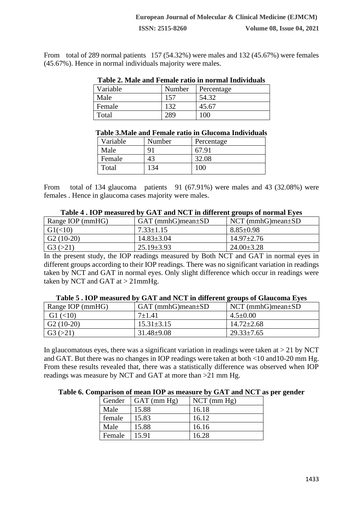From total of 289 normal patients 157 (54.32%) were males and 132 (45.67%) were females (45.67%). Hence in normal individuals majority were males.

| Table 2. Male and Female ratio in normal Individuals |        |            |  |
|------------------------------------------------------|--------|------------|--|
| Variable                                             | Number | Percentage |  |
| Male                                                 | 157    | 54.32      |  |
| Female                                               | 132    | 45.67      |  |
| Total                                                | 289    | 100        |  |

|  | Table 2. Male and Female ratio in normal Individuals |
|--|------------------------------------------------------|
|  |                                                      |

#### **Table 3.Male and Female ratio in Glucoma Individuals**

| Variable | Number | Percentage |
|----------|--------|------------|
| Male     | $Q_1$  | 67.91      |
| Female   | 43     | 32.08      |
| Total    | 134    | 100        |

From total of 134 glaucoma patients 91 (67.91%) were males and 43 (32.08%) were females . Hence in glaucoma cases majority were males.

| Table 4. FOT Incasured by GAT and INCT in uniterent groups of normal eyes |                            |                            |  |
|---------------------------------------------------------------------------|----------------------------|----------------------------|--|
| Range IOP (mmHG)                                                          | $GAT$ (mmhG) mean $\pm SD$ | $NCT$ (mmhG) mean $\pm SD$ |  |
| $\mid$ G1(<10)                                                            | $7.33 \pm 1.15$            | $8.85 \pm 0.98$            |  |
| $\mid$ G <sub>2</sub> (10-20)                                             | $14.83 \pm 3.04$           | $14.97 \pm 2.76$           |  |
| $\mid$ G <sub>3</sub> $(>21)$                                             | $25.19 \pm 3.93$           | $24.00 \pm 3.28$           |  |

# **Table 4 . IOP measured by GAT and NCT in different groups of normal Eyes**

In the present study, the IOP readings measured by Both NCT and GAT in normal eyes in different groups according to their IOP readings. There was no significant variation in readings taken by NCT and GAT in normal eyes. Only slight difference which occur in readings were taken by NCT and GAT at  $> 21$ mmHg.

| Range IOP (mmHG)         | $GAT$ (mmhG) mean $\pm SD$ | $NCT$ (mmhG) mean $\pm SD$ |
|--------------------------|----------------------------|----------------------------|
| $G1 \left( < 10 \right)$ | $7+1.41$                   | $4.5 \pm 0.00$             |
| $G2(10-20)$              | $15.31 \pm 3.15$           | $14.72 \pm 2.68$           |
| G3 (>21)                 | $31.48 \pm 9.08$           | $29.33 \pm 7.65$           |

#### **Table 5 . IOP measured by GAT and NCT in different groups of Glaucoma Eyes**

In glaucomatous eyes, there was a significant variation in readings were taken at  $> 21$  by NCT and GAT. But there was no changes in IOP readings were taken at both <10 and10-20 mm Hg. From these results revealed that, there was a statistically difference was observed when IOP readings was measure by NCT and GAT at more than >21 mm Hg.

#### **Table 6. Comparison of mean IOP as measure by GAT and NCT as per gender**

| Gender | $GAT$ (mm $Hg$ ) | $NCT$ (mm $Hg$ ) |
|--------|------------------|------------------|
| Male   | 15.88            | 16.18            |
| female | 15.83            | 16.12            |
| Male   | 15.88            | 16.16            |
| Female | 15.91            | 16.28            |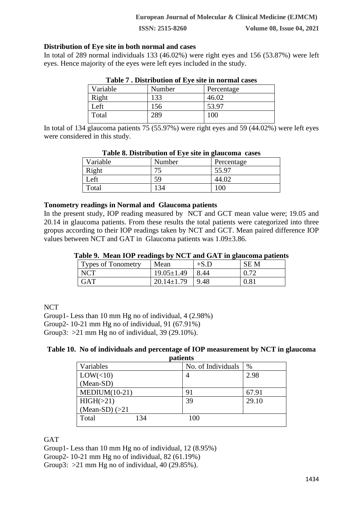#### **Distribution of Eye site in both normal and cases**

In total of 289 normal individuals 133 (46.02%) were right eyes and 156 (53.87%) were left eyes. Hence majority of the eyes were left eyes included in the study.

| <b>Table / Distribution of Eye site in normal cases</b> |        |            |  |
|---------------------------------------------------------|--------|------------|--|
| Variable                                                | Number | Percentage |  |
| Right                                                   | 133    | 46.02      |  |
| Left                                                    | 156    | 53.97      |  |
| Total                                                   | 289    | 100        |  |

In total of 134 glaucoma patients 75 (55.97%) were right eyes and 59 (44.02%) were left eyes were considered in this study.

| Variable | Number | Percentage |  |
|----------|--------|------------|--|
| Right    | ח ה    | 55.97      |  |
| Left     | 59     | 44.02      |  |
| Total    | 134    | 100        |  |

#### **Table 8. Distribution of Eye site in glaucoma cases**

#### **Tonometry readings in Normal and Glaucoma patients**

In the present study, IOP reading measured by NCT and GCT mean value were; 19.05 and 20.14 in glaucoma patients. From these results the total patients were categorized into three gropus according to their IOP readings taken by NCT and GCT. Mean paired difference IOP values between NCT and GAT in Glaucoma patients was 1.09±3.86.

#### **Table 9. Mean IOP readings by NCT and GAT in glaucoma patients**

| <b>Types of Tonometry</b> | Mean             | $+S.D$ | <b>SEM</b> |
|---------------------------|------------------|--------|------------|
| <b>NCT</b>                | $19.05 \pm 1.49$ | 8.44   | 0.72       |
| <b>GAT</b>                | $20.14 \pm 1.79$ | 9.48   | 0.81       |

**NCT** 

Group1- Less than 10 mm Hg no of individual, 4 (2.98%)

Group2- 10-21 mm Hg no of individual, 91 (67.91%)

Group3:  $>21$  mm Hg no of individual, 39 (29.10%).

#### **Table 10. No of individuals and percentage of IOP measurement by NCT in glaucoma patients**

| pauents           |     |                    |       |  |
|-------------------|-----|--------------------|-------|--|
| Variables         |     | No. of Individuals | %     |  |
| LOW(<10)          |     |                    | 2.98  |  |
| (Mean-SD)         |     |                    |       |  |
| $MEDIUM(10-21)$   |     | 91                 | 67.91 |  |
| HIGH(>21)         |     | 39                 | 29.10 |  |
| (Mean-SD) $(>21)$ |     |                    |       |  |
| Total             | 134 | 100                |       |  |
|                   |     |                    |       |  |

**GAT** 

Group1- Less than 10 mm Hg no of individual, 12 (8.95%)

Group2- 10-21 mm Hg no of individual, 82 (61.19%)

Group3:  $>21$  mm Hg no of individual, 40 (29.85%).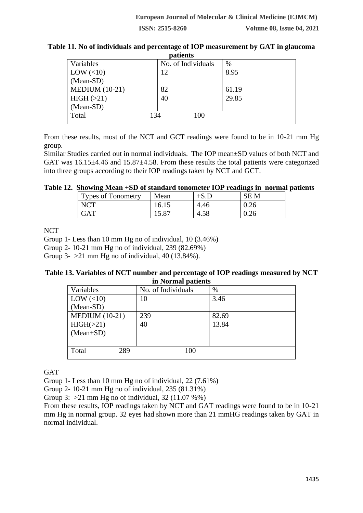| patients         |                    |       |  |
|------------------|--------------------|-------|--|
| Variables        | No. of Individuals | %     |  |
| LOW $(\leq 10)$  | 12                 | 8.95  |  |
| (Mean-SD)        |                    |       |  |
| MEDIUM $(10-21)$ | 82                 | 61.19 |  |
| HIGH (>21)       | 40                 | 29.85 |  |
| (Mean-SD)        |                    |       |  |
| Total            | 134<br>100         |       |  |
|                  |                    |       |  |

# **Table 11. No of individuals and percentage of IOP measurement by GAT in glaucoma patients**

From these results, most of the NCT and GCT readings were found to be in 10-21 mm Hg group.

Similar Studies carried out in normal individuals. The IOP mean±SD values of both NCT and GAT was 16.15±4.46 and 15.87±4.58. From these results the total patients were categorized into three groups according to their IOP readings taken by NCT and GCT.

# **Table 12. Showing Mean +SD of standard tonometer IOP readings in normal patients**

| <b>Types of Tonometry</b> | Mean           | $+S.L$ | <b>SEM</b> |
|---------------------------|----------------|--------|------------|
| <b>NCT</b>                | 16.15          | 4.46   | 0.26       |
| $\rm GAT$                 | $15.8^{\circ}$ | 4.58   | ∪.∠∪       |

**NCT** 

Group 1- Less than 10 mm Hg no of individual, 10 (3.46%)

Group 2- 10-21 mm Hg no of individual, 239 (82.69%)

Group 3-  $>21$  mm Hg no of individual, 40 (13.84%).

# **Table 13. Variables of NCT number and percentage of IOP readings measured by NCT in Normal patients**

| Variables             | No. of Individuals | $\%$  |
|-----------------------|--------------------|-------|
| LOW $(\leq 10)$       | 10                 | 3.46  |
| (Mean-SD)             |                    |       |
| <b>MEDIUM (10-21)</b> | 239                | 82.69 |
| HIGH(>21)             | 40                 | 13.84 |
| $(Mean+SD)$           |                    |       |
|                       |                    |       |
| Total<br>289          | 100                |       |
|                       |                    |       |

**GAT** 

Group 1- Less than 10 mm Hg no of individual, 22 (7.61%)

Group 2- 10-21 mm Hg no of individual, 235 (81.31%)

Group 3:  $>21$  mm Hg no of individual, 32 (11.07 %%)

From these results, IOP readings taken by NCT and GAT readings were found to be in 10-21 mm Hg in normal group. 32 eyes had shown more than 21 mmHG readings taken by GAT in normal individual.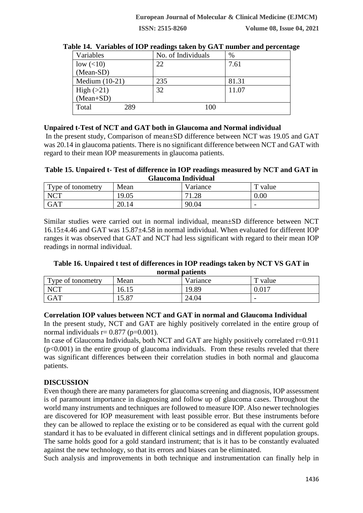| Variables        | No. of Individuals | $\%$  |
|------------------|--------------------|-------|
| low $(<10)$      | 22                 | 7.61  |
| (Mean-SD)        |                    |       |
| Medium $(10-21)$ | 235                | 81.31 |
| High $(>21)$     | 32                 | 11.07 |
| $(Mean+SD)$      |                    |       |
| 289<br>Total     | 100                |       |

#### **Table 14. Variables of IOP readings taken by GAT number and percentage**

# **Unpaired t-Test of NCT and GAT both in Glaucoma and Normal individual**

In the present study, Comparison of mean±SD difference between NCT was 19.05 and GAT was 20.14 in glaucoma patients. There is no significant difference between NCT and GAT with regard to their mean IOP measurements in glaucoma patients.

#### **Table 15. Unpaired t- Test of difference in IOP readings measured by NCT and GAT in Glaucoma Individual**

| Type of tonometry | Mean  | V ariance            | m<br>value               |
|-------------------|-------|----------------------|--------------------------|
| <b>NCT</b>        | 19.05 | $\cap$<br>71<br>1.20 | 0.00                     |
| <b>GAT</b>        | 20.14 | 90.04                | $\overline{\phantom{0}}$ |

Similar studies were carried out in normal individual, mean±SD difference between NCT 16.15±4.46 and GAT was 15.87±4.58 in normal individual. When evaluated for different IOP ranges it was observed that GAT and NCT had less significant with regard to their mean IOP readings in normal individual.

#### **Table 16. Unpaired t test of differences in IOP readings taken by NCT VS GAT in normal patients**

| <u>noi mai patients</u> |                     |           |                          |
|-------------------------|---------------------|-----------|--------------------------|
| Type of tonometry       | Mean                | V ariance | value                    |
| <b>NCT</b>              | 16.15               | 19.89     | $0.01^{-}$               |
| <b>GAT</b>              | $\Omega$<br>1 J.O I | 24.04     | $\overline{\phantom{0}}$ |

#### **Correlation IOP values between NCT and GAT in normal and Glaucoma Individual**

In the present study, NCT and GAT are highly positively correlated in the entire group of normal individuals  $r= 0.877$  ( $p=0.001$ ).

In case of Glaucoma Individuals, both NCT and GAT are highly positively correlated r=0.911  $(p<0.001)$  in the entire group of glaucoma individuals. From these results reveled that there was significant differences between their correlation studies in both normal and glaucoma patients.

# **DISCUSSION**

Even though there are many parameters for glaucoma screening and diagnosis, IOP assessment is of paramount importance in diagnosing and follow up of glaucoma cases. Throughout the world many instruments and techniques are followed to measure IOP. Also newer technologies are discovered for IOP measurement with least possible error. But these instruments before they can be allowed to replace the existing or to be considered as equal with the current gold standard it has to be evaluated in different clinical settings and in different population groups. The same holds good for a gold standard instrument; that is it has to be constantly evaluated against the new technology, so that its errors and biases can be eliminated.

Such analysis and improvements in both technique and instrumentation can finally help in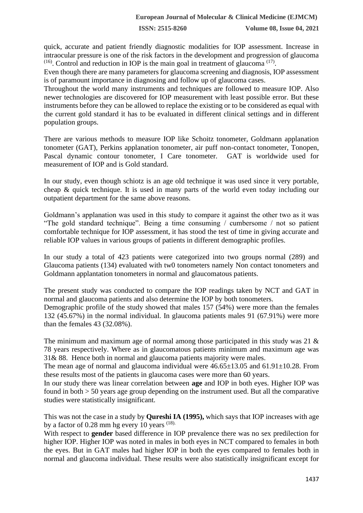quick, accurate and patient friendly diagnostic modalities for IOP assessment. Increase in intraocular pressure is one of the risk factors in the development and progression of glaucoma  $(16)$ . Control and reduction in IOP is the main goal in treatment of glaucoma<sup>(17)</sup>.

Even though there are many parameters for glaucoma screening and diagnosis, IOP assessment is of paramount importance in diagnosing and follow up of glaucoma cases.

Throughout the world many instruments and techniques are followed to measure IOP. Also newer technologies are discovered for IOP measurement with least possible error. But these instruments before they can be allowed to replace the existing or to be considered as equal with the current gold standard it has to be evaluated in different clinical settings and in different population groups.

There are various methods to measure IOP like Schoitz tonometer, Goldmann applanation tonometer (GAT), Perkins applanation tonometer, air puff non-contact tonometer, Tonopen, Pascal dynamic contour tonometer, I Care tonometer. GAT is worldwide used for measurement of IOP and is Gold standard.

In our study, even though schiotz is an age old technique it was used since it very portable, cheap & quick technique. It is used in many parts of the world even today including our outpatient department for the same above reasons.

Goldmann's applanation was used in this study to compare it against the other two as it was "The gold standard technique". Being a time consuming / cumbersome / not so patient comfortable technique for IOP assessment, it has stood the test of time in giving accurate and reliable IOP values in various groups of patients in different demographic profiles.

In our study a total of 423 patients were categorized into two groups normal (289) and Glaucoma patients (134) evaluated with tw0 tonometers namely Non contact tonometers and Goldmann applantation tonometers in normal and glaucomatous patients.

The present study was conducted to compare the IOP readings taken by NCT and GAT in normal and glaucoma patients and also determine the IOP by both tonometers.

Demographic profile of the study showed that males 157 (54%) were more than the females 132 (45.67%) in the normal individual. In glaucoma patients males 91 (67.91%) were more than the females 43 (32.08%).

The minimum and maximum age of normal among those participated in this study was 21 & 78 years respectively. Where as in glaucomatous patients minimum and maximum age was 31& 88. Hence both in normal and glaucoma patients majority were males.

The mean age of normal and glaucoma individual were  $46.65\pm13.05$  and  $61.91\pm10.28$ . From these results most of the patients in glaucoma cases were more than 60 years.

In our study there was linear correlation between **age** and IOP in both eyes. Higher IOP was found in both > 50 years age group depending on the instrument used. But all the comparative studies were statistically insignificant.

This was not the case in a study by **Qureshi IA (1995),** which says that IOP increases with age by a factor of  $0.28$  mm hg every 10 years  $(18)$ .

With respect to **gender** based difference in IOP prevalence there was no sex predilection for higher IOP. Higher IOP was noted in males in both eyes in NCT compared to females in both the eyes. But in GAT males had higher IOP in both the eyes compared to females both in normal and glaucoma individual. These results were also statistically insignificant except for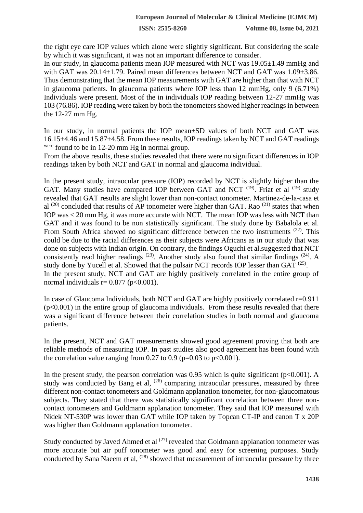the right eye care IOP values which alone were slightly significant. But considering the scale by which it was significant, it was not an important difference to consider.

In our study, in glaucoma patients mean IOP measured with NCT was 19.05±1.49 mmHg and with GAT was 20.14±1.79. Paired mean differences between NCT and GAT was 1.09±3.86. Thus demonstrating that the mean IOP measurements with GAT are higher than that with NCT in glaucoma patients. In glaucoma patients where IOP less than 12 mmHg, only 9 (6.71%) Individuals were present. Most of the in individuals IOP reading between 12-27 mmHg was 103 (76.86). IOP reading were taken by both the tonometers showed higher readings in between the 12-27 mm Hg.

In our study, in normal patients the IOP mean±SD values of both NCT and GAT was 16.15±4.46 and 15.87±4.58. From these results, IOP readings taken by NCT and GAT readings were found to be in 12-20 mm Hg in normal group.

From the above results, these studies revealed that there were no significant differences in IOP readings taken by both NCT and GAT in normal and glaucoma individual.

In the present study, intraocular pressure (IOP) recorded by NCT is slightly higher than the GAT. Many studies have compared IOP between GAT and NCT<sup>(19)</sup>. Friat et al<sup>(19)</sup> study revealed that GAT results are slight lower than non-contact tonometer. Martinez-de-la-casa et al  $^{(20)}$  concluded that results of AP tonometer were higher than GAT. Rao  $^{(21)}$  states that when IOP was < 20 mm Hg, it was more accurate with NCT. The mean IOP was less with NCT than GAT and it was found to be non statistically significant. The study done by Babalola et al. From South Africa showed no significant difference between the two instruments <sup>(22)</sup>. This could be due to the racial differences as their subjects were Africans as in our study that was done on subjects with Indian origin. On contrary, the findings Oguchi et al.suggested that NCT consistently read higher readings  $(23)$ . Another study also found that similar findings  $(24)$ . A study done by Yucell et al. Showed that the pulsair NCT records IOP lesser than GAT <sup>(25)</sup>. In the present study, NCT and GAT are highly positively correlated in the entire group of normal individuals  $r= 0.877$  (p<0.001).

In case of Glaucoma Individuals, both NCT and GAT are highly positively correlated  $r=0.911$  $(p<0.001)$  in the entire group of glaucoma individuals. From these results revealed that there was a significant difference between their correlation studies in both normal and glaucoma patients.

In the present, NCT and GAT measurements showed good agreement proving that both are reliable methods of measuring IOP. In past studies also good agreement has been found with the correlation value ranging from 0.27 to 0.9 ( $p=0.03$  to  $p<0.001$ ).

In the present study, the pearson correlation was  $0.95$  which is quite significant (p<0.001). A study was conducted by Bang et al,  $(26)$  comparing intraocular pressures, measured by three different non-contact tonometers and Goldmann applanation tonometer, for non-glaucomatous subjects. They stated that there was statistically significant correlation between three noncontact tonometers and Goldmann applanation tonometer. They said that IOP measured with Nidek NT-530P was lower than GAT while IOP taken by Topcan CT-IP and canon T x 20P was higher than Goldmann applanation tonometer.

Study conducted by Javed Ahmed et al  $(27)$  revealed that Goldmann applanation tonometer was more accurate but air puff tonometer was good and easy for screening purposes. Study conducted by Sana Naeem et al,  $(28)$  showed that measurement of intraocular pressure by three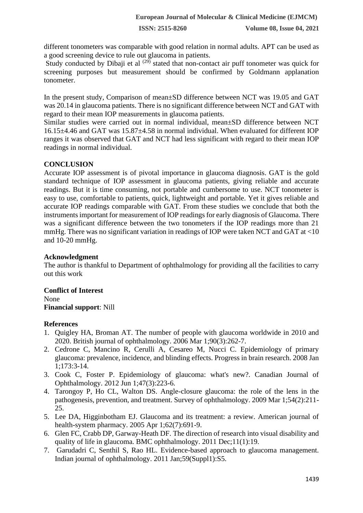different tonometers was comparable with good relation in normal adults. APT can be used as a good screening device to rule out glaucoma in patients.

Study conducted by Dibaji et al  $(29)$  stated that non-contact air puff tonometer was quick for screening purposes but measurement should be confirmed by Goldmann applanation tonometer.

In the present study, Comparison of mean±SD difference between NCT was 19.05 and GAT was 20.14 in glaucoma patients. There is no significant difference between NCT and GAT with regard to their mean IOP measurements in glaucoma patients.

Similar studies were carried out in normal individual, mean±SD difference between NCT 16.15±4.46 and GAT was 15.87±4.58 in normal individual. When evaluated for different IOP ranges it was observed that GAT and NCT had less significant with regard to their mean IOP readings in normal individual.

# **CONCLUSION**

Accurate IOP assessment is of pivotal importance in glaucoma diagnosis. GAT is the gold standard technique of IOP assessment in glaucoma patients, giving reliable and accurate readings. But it is time consuming, not portable and cumbersome to use. NCT tonometer is easy to use, comfortable to patients, quick, lightweight and portable. Yet it gives reliable and accurate IOP readings comparable with GAT. From these studies we conclude that both the instruments important for measurement of IOP readings for early diagnosis of Glaucoma. There was a significant difference between the two tonometers if the IOP readings more than 21 mmHg. There was no significant variation in readings of IOP were taken NCT and GAT at <10 and 10-20 mmHg.

# **Acknowledgment**

The author is thankful to Department of ophthalmology for providing all the facilities to carry out this work

**Conflict of Interest** None **Financial support**: Nill

# **References**

- 1. Quigley HA, Broman AT. The number of people with glaucoma worldwide in 2010 and 2020. British journal of ophthalmology. 2006 Mar 1;90(3):262-7.
- 2. Cedrone C, Mancino R, Cerulli A, Cesareo M, Nucci C. Epidemiology of primary glaucoma: prevalence, incidence, and blinding effects. Progress in brain research. 2008 Jan 1;173:3-14.
- 3. Cook C, Foster P. Epidemiology of glaucoma: what's new?. Canadian Journal of Ophthalmology. 2012 Jun 1;47(3):223-6.
- 4. Tarongoy P, Ho CL, Walton DS. Angle-closure glaucoma: the role of the lens in the pathogenesis, prevention, and treatment. Survey of ophthalmology. 2009 Mar 1;54(2):211- 25.
- 5. Lee DA, Higginbotham EJ. Glaucoma and its treatment: a review. American journal of health-system pharmacy. 2005 Apr 1;62(7):691-9.
- 6. Glen FC, Crabb DP, Garway-Heath DF. The direction of research into visual disability and quality of life in glaucoma. BMC ophthalmology. 2011 Dec;11(1):19.
- 7. Garudadri C, Senthil S, Rao HL. Evidence-based approach to glaucoma management. Indian journal of ophthalmology. 2011 Jan;59(Suppl1):S5.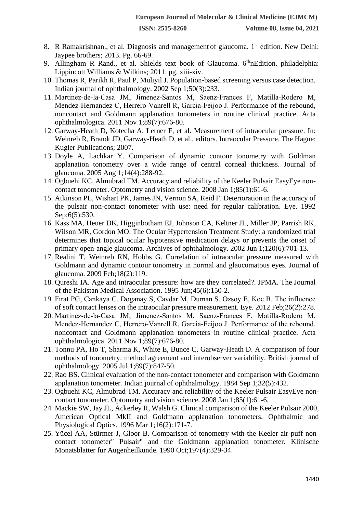- 8. R Ramakrishnan., et al. Diagnosis and management of glaucoma. 1<sup>st</sup> edition. New Delhi: Jaypee brothers; 2013. Pg. 66-69.
- 9. Allingham R Rand., et al. Shields text book of Glaucoma. 6<sup>th</sup>nEdition. philadelphia: Lippincott Williams & Wilkins; 2011. pg. xiii-xiv.
- 10. Thomas R, Parikh R, Paul P, Muliyil J. Population-based screening versus case detection. Indian journal of ophthalmology. 2002 Sep 1;50(3):233.
- 11. Martinez‐de‐la‐Casa JM, Jimenez‐Santos M, Saenz‐Frances F, Matilla‐Rodero M, Mendez‐Hernandez C, Herrero‐Vanrell R, Garcia‐Feijoo J. Performance of the rebound, noncontact and Goldmann applanation tonometers in routine clinical practice. Acta ophthalmologica. 2011 Nov 1;89(7):676-80.
- 12. Garway-Heath D, Kotecha A, Lerner F, et al. Measurement of intraocular pressure. In: Weinreb R, Brandt JD, Garway-Heath D, et al., editors. Intraocular Pressure. The Hague: Kugler Publications; 2007.
- 13. Doyle A, Lachkar Y. Comparison of dynamic contour tonometry with Goldman applanation tonometry over a wide range of central corneal thickness. Journal of glaucoma. 2005 Aug 1;14(4):288-92.
- 14. Ogbuehi KC, Almubrad TM. Accuracy and reliability of the Keeler Pulsair EasyEye noncontact tonometer. Optometry and vision science. 2008 Jan 1;85(1):61-6.
- 15. Atkinson PL, Wishart PK, James JN, Vernon SA, Reid F. Deterioration in the accuracy of the pulsair non-contact tonometer with use: need for regular calibration. Eye. 1992 Sep;6(5):530.
- 16. Kass MA, Heuer DK, Higginbotham EJ, Johnson CA, Keltner JL, Miller JP, Parrish RK, Wilson MR, Gordon MO. The Ocular Hypertension Treatment Study: a randomized trial determines that topical ocular hypotensive medication delays or prevents the onset of primary open-angle glaucoma. Archives of ophthalmology. 2002 Jun 1;120(6):701-13.
- 17. Realini T, Weinreb RN, Hobbs G. Correlation of intraocular pressure measured with Goldmann and dynamic contour tonometry in normal and glaucomatous eyes. Journal of glaucoma. 2009 Feb;18(2):119.
- 18. Qureshi IA. Age and intraocular pressure: how are they correlated?. JPMA. The Journal of the Pakistan Medical Association. 1995 Jun;45(6):150-2.
- 19. Fırat PG, Cankaya C, Doganay S, Cavdar M, Duman S, Ozsoy E, Koc B. The influence of soft contact lenses on the intraocular pressure measurement. Eye. 2012 Feb;26(2):278.
- 20. Martinez‐de‐la‐Casa JM, Jimenez‐Santos M, Saenz‐Frances F, Matilla‐Rodero M, Mendez‐Hernandez C, Herrero‐Vanrell R, Garcia‐Feijoo J. Performance of the rebound, noncontact and Goldmann applanation tonometers in routine clinical practice. Acta ophthalmologica. 2011 Nov 1;89(7):676-80.
- 21. Tonnu PA, Ho T, Sharma K, White E, Bunce C, Garway-Heath D. A comparison of four methods of tonometry: method agreement and interobserver variability. British journal of ophthalmology. 2005 Jul 1;89(7):847-50.
- 22. Rao BS. Clinical evaluation of the non-contact tonometer and comparison with Goldmann applanation tonometer. Indian journal of ophthalmology. 1984 Sep 1;32(5):432.
- 23. Ogbuehi KC, Almubrad TM. Accuracy and reliability of the Keeler Pulsair EasyEye noncontact tonometer. Optometry and vision science. 2008 Jan 1;85(1):61-6.
- 24. Mackie SW, Jay JL, Ackerley R, Walsh G. Clinical comparison of the Keeler Pulsair 2000, American Optical MkII and Goldmann applanation tonometers. Ophthalmic and Physiological Optics. 1996 Mar 1;16(2):171-7.
- 25. Yücel AA, Stürmer J, Gloor B. Comparison of tonometry with the Keeler air puff noncontact tonometer" Pulsair" and the Goldmann applanation tonometer. Klinische Monatsblatter fur Augenheilkunde. 1990 Oct;197(4):329-34.